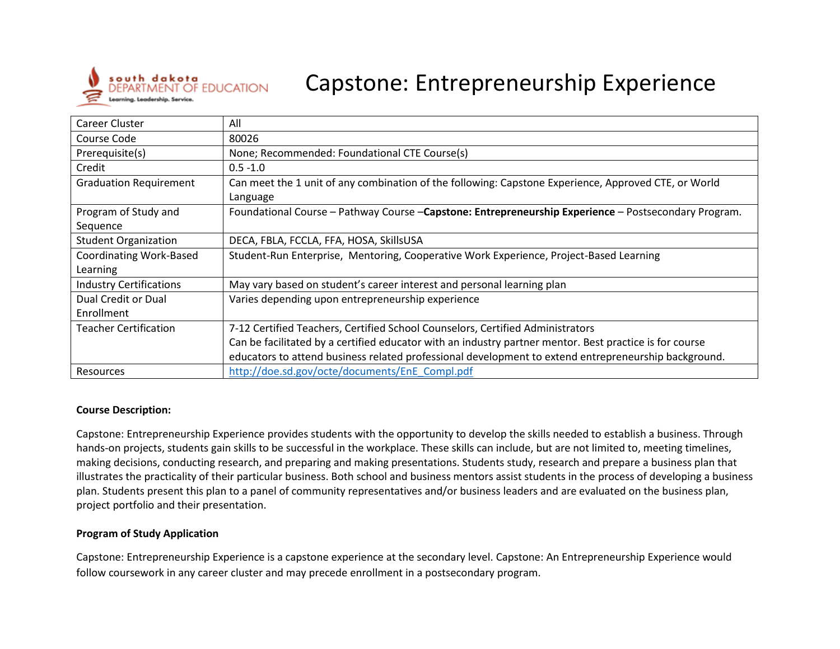

# Capstone: Entrepreneurship Experience

| Career Cluster                 | All                                                                                                              |
|--------------------------------|------------------------------------------------------------------------------------------------------------------|
| Course Code                    | 80026                                                                                                            |
| Prerequisite(s)                | None; Recommended: Foundational CTE Course(s)                                                                    |
| Credit                         | $0.5 - 1.0$                                                                                                      |
| <b>Graduation Requirement</b>  | Can meet the 1 unit of any combination of the following: Capstone Experience, Approved CTE, or World<br>Language |
| Program of Study and           | Foundational Course - Pathway Course - Capstone: Entrepreneurship Experience - Postsecondary Program.            |
| Sequence                       |                                                                                                                  |
| <b>Student Organization</b>    | DECA, FBLA, FCCLA, FFA, HOSA, SkillsUSA                                                                          |
| Coordinating Work-Based        | Student-Run Enterprise, Mentoring, Cooperative Work Experience, Project-Based Learning                           |
| Learning                       |                                                                                                                  |
| <b>Industry Certifications</b> | May vary based on student's career interest and personal learning plan                                           |
| Dual Credit or Dual            | Varies depending upon entrepreneurship experience                                                                |
| Enrollment                     |                                                                                                                  |
| <b>Teacher Certification</b>   | 7-12 Certified Teachers, Certified School Counselors, Certified Administrators                                   |
|                                | Can be facilitated by a certified educator with an industry partner mentor. Best practice is for course          |
|                                | educators to attend business related professional development to extend entrepreneurship background.             |
| Resources                      | http://doe.sd.gov/octe/documents/EnE Compl.pdf                                                                   |

#### **Course Description:**

Capstone: Entrepreneurship Experience provides students with the opportunity to develop the skills needed to establish a business. Through hands-on projects, students gain skills to be successful in the workplace. These skills can include, but are not limited to, meeting timelines, making decisions, conducting research, and preparing and making presentations. Students study, research and prepare a business plan that illustrates the practicality of their particular business. Both school and business mentors assist students in the process of developing a business plan. Students present this plan to a panel of community representatives and/or business leaders and are evaluated on the business plan, project portfolio and their presentation.

#### **Program of Study Application**

Capstone: Entrepreneurship Experience is a capstone experience at the secondary level. Capstone: An Entrepreneurship Experience would follow coursework in any career cluster and may precede enrollment in a postsecondary program.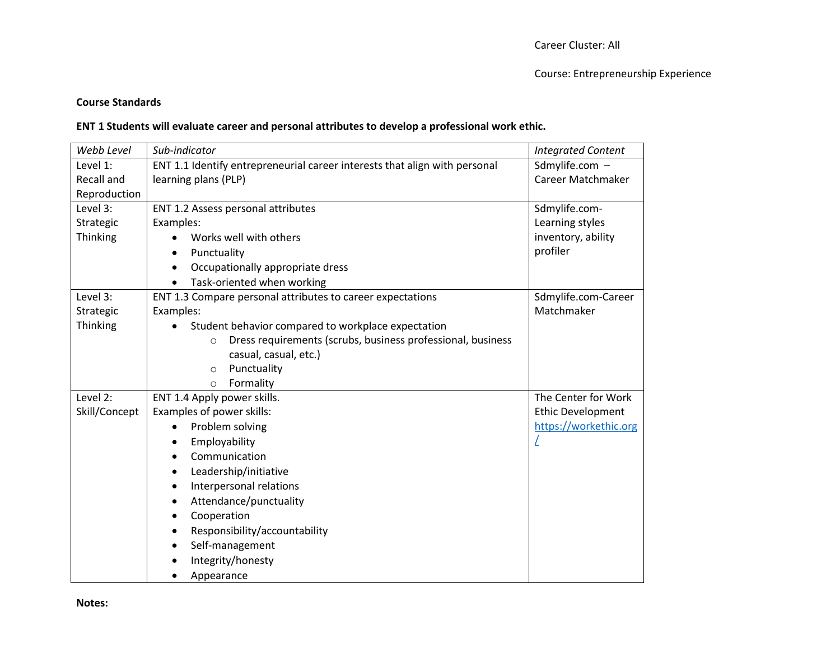## **Course Standards**

## **ENT 1 Students will evaluate career and personal attributes to develop a professional work ethic.**

| Webb Level    | Sub-indicator                                                              | <b>Integrated Content</b> |
|---------------|----------------------------------------------------------------------------|---------------------------|
| Level 1:      | ENT 1.1 Identify entrepreneurial career interests that align with personal | Sdmylife.com -            |
| Recall and    | learning plans (PLP)                                                       | <b>Career Matchmaker</b>  |
| Reproduction  |                                                                            |                           |
| Level 3:      | ENT 1.2 Assess personal attributes                                         | Sdmylife.com-             |
| Strategic     | Examples:                                                                  | Learning styles           |
| Thinking      | Works well with others                                                     | inventory, ability        |
|               | Punctuality                                                                | profiler                  |
|               | Occupationally appropriate dress                                           |                           |
|               | Task-oriented when working                                                 |                           |
| Level 3:      | ENT 1.3 Compare personal attributes to career expectations                 | Sdmylife.com-Career       |
| Strategic     | Examples:                                                                  | Matchmaker                |
| Thinking      | Student behavior compared to workplace expectation                         |                           |
|               | Dress requirements (scrubs, business professional, business<br>$\Omega$    |                           |
|               | casual, casual, etc.)                                                      |                           |
|               | Punctuality<br>$\circ$                                                     |                           |
|               | Formality<br>$\Omega$                                                      |                           |
| Level 2:      | ENT 1.4 Apply power skills.                                                | The Center for Work       |
| Skill/Concept | Examples of power skills:                                                  | <b>Ethic Development</b>  |
|               | Problem solving                                                            | https://workethic.org     |
|               | Employability                                                              |                           |
|               | Communication                                                              |                           |
|               | Leadership/initiative                                                      |                           |
|               | Interpersonal relations                                                    |                           |
|               | Attendance/punctuality                                                     |                           |
|               | Cooperation                                                                |                           |
|               | Responsibility/accountability                                              |                           |
|               | Self-management                                                            |                           |
|               | Integrity/honesty                                                          |                           |
|               | Appearance                                                                 |                           |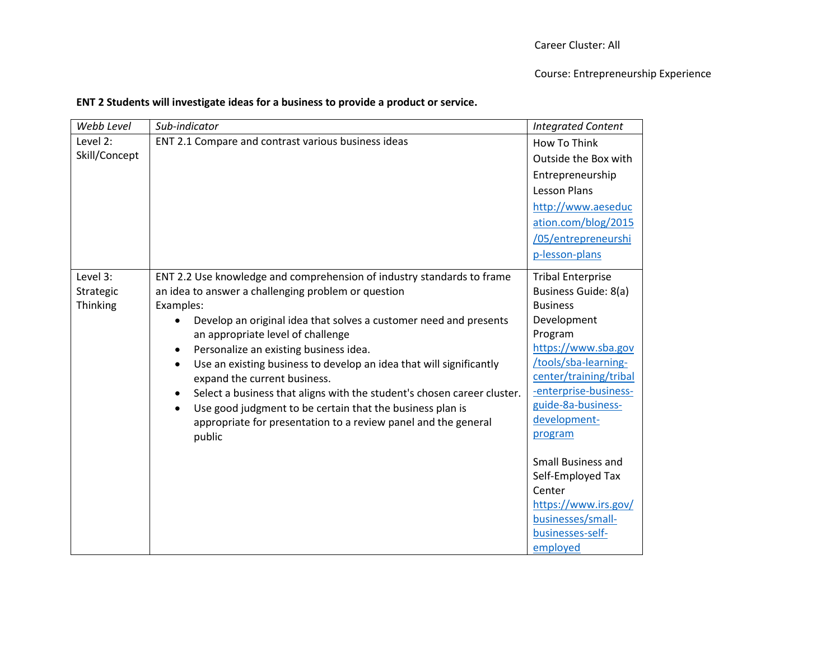# **ENT 2 Students will investigate ideas for a business to provide a product or service.**

| Webb Level    | Sub-indicator                                                           | <b>Integrated Content</b>          |
|---------------|-------------------------------------------------------------------------|------------------------------------|
| Level 2:      | ENT 2.1 Compare and contrast various business ideas                     | How To Think                       |
| Skill/Concept |                                                                         | Outside the Box with               |
|               |                                                                         | Entrepreneurship                   |
|               |                                                                         | <b>Lesson Plans</b>                |
|               |                                                                         | http://www.aeseduc                 |
|               |                                                                         | ation.com/blog/2015                |
|               |                                                                         | /05/entrepreneurshi                |
|               |                                                                         | p-lesson-plans                     |
| Level 3:      | ENT 2.2 Use knowledge and comprehension of industry standards to frame  | <b>Tribal Enterprise</b>           |
| Strategic     | an idea to answer a challenging problem or question                     | Business Guide: 8(a)               |
| Thinking      | Examples:                                                               | <b>Business</b>                    |
|               | Develop an original idea that solves a customer need and presents       | Development                        |
|               | an appropriate level of challenge                                       | Program                            |
|               | Personalize an existing business idea.                                  | https://www.sba.gov                |
|               | Use an existing business to develop an idea that will significantly     | /tools/sba-learning-               |
|               | expand the current business.                                            | center/training/tribal             |
|               | Select a business that aligns with the student's chosen career cluster. | -enterprise-business-              |
|               | Use good judgment to be certain that the business plan is               | guide-8a-business-<br>development- |
|               | appropriate for presentation to a review panel and the general          |                                    |
|               | public                                                                  | program                            |
|               |                                                                         | <b>Small Business and</b>          |
|               |                                                                         | Self-Employed Tax                  |
|               |                                                                         | Center                             |
|               |                                                                         | https://www.irs.gov/               |
|               |                                                                         | businesses/small-                  |
|               |                                                                         | businesses-self-                   |
|               |                                                                         | employed                           |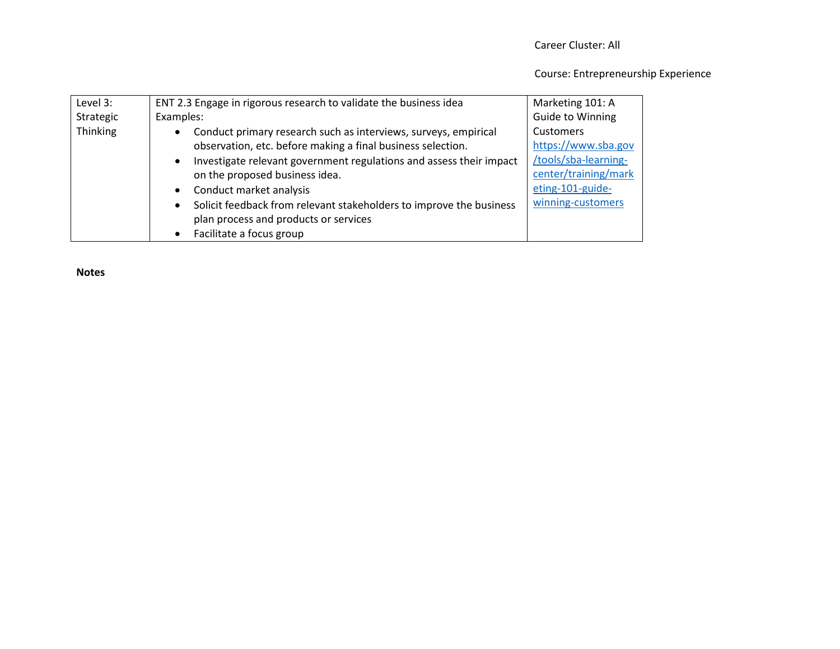## Course: Entrepreneurship Experience

| Level 3:  | ENT 2.3 Engage in rigorous research to validate the business idea                | Marketing 101: A        |
|-----------|----------------------------------------------------------------------------------|-------------------------|
| Strategic | Examples:                                                                        | <b>Guide to Winning</b> |
| Thinking  | Conduct primary research such as interviews, surveys, empirical<br>$\bullet$     | <b>Customers</b>        |
|           | observation, etc. before making a final business selection.                      | https://www.sba.gov     |
|           | Investigate relevant government regulations and assess their impact<br>$\bullet$ | /tools/sba-learning-    |
|           | on the proposed business idea.                                                   | center/training/mark    |
|           | Conduct market analysis                                                          | eting-101-guide-        |
|           | Solicit feedback from relevant stakeholders to improve the business<br>$\bullet$ | winning-customers       |
|           | plan process and products or services                                            |                         |
|           | Facilitate a focus group                                                         |                         |

**Notes**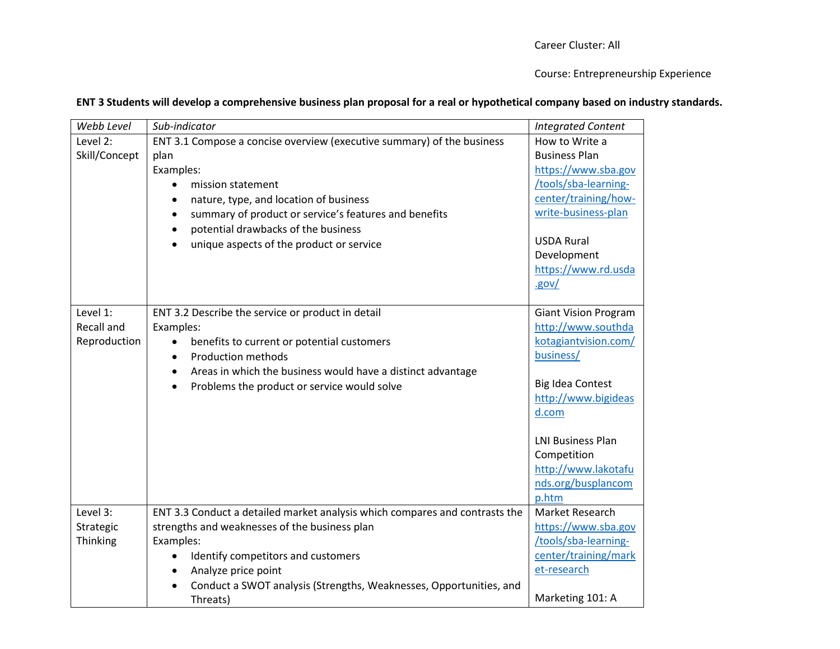## Course: Entrepreneurship Experience

# **ENT 3 Students will develop a comprehensive business plan proposal for a real or hypothetical company based on industry standards.**

| Level 2:<br>ENT 3.1 Compose a concise overview (executive summary) of the business<br>How to Write a<br>Skill/Concept<br><b>Business Plan</b><br>plan<br>Examples:<br>https://www.sba.gov<br>/tools/sba-learning-<br>mission statement<br>center/training/how-<br>nature, type, and location of business<br>$\bullet$<br>write-business-plan<br>summary of product or service's features and benefits<br>potential drawbacks of the business<br><b>USDA Rural</b><br>unique aspects of the product or service<br>Development<br>https://www.rd.usda<br>.gov/<br>Level 1:<br>ENT 3.2 Describe the service or product in detail<br><b>Giant Vision Program</b><br>Recall and<br>http://www.southda<br>Examples:<br>Reproduction<br>kotagiantvision.com/<br>benefits to current or potential customers<br>$\bullet$<br>business/<br><b>Production methods</b><br>$\bullet$<br>Areas in which the business would have a distinct advantage<br><b>Big Idea Contest</b><br>Problems the product or service would solve<br>http://www.bigideas<br>d.com<br><b>LNI Business Plan</b><br>Competition<br>http://www.lakotafu<br>nds.org/busplancom<br>p.htm<br>Level 3:<br>ENT 3.3 Conduct a detailed market analysis which compares and contrasts the<br>Market Research<br>strengths and weaknesses of the business plan<br>https://www.sba.gov<br>Strategic<br>/tools/sba-learning-<br>Thinking<br>Examples:<br>center/training/mark<br>Identify competitors and customers | Webb Level | Sub-indicator       | <b>Integrated Content</b> |
|---------------------------------------------------------------------------------------------------------------------------------------------------------------------------------------------------------------------------------------------------------------------------------------------------------------------------------------------------------------------------------------------------------------------------------------------------------------------------------------------------------------------------------------------------------------------------------------------------------------------------------------------------------------------------------------------------------------------------------------------------------------------------------------------------------------------------------------------------------------------------------------------------------------------------------------------------------------------------------------------------------------------------------------------------------------------------------------------------------------------------------------------------------------------------------------------------------------------------------------------------------------------------------------------------------------------------------------------------------------------------------------------------------------------------------------------------------------------|------------|---------------------|---------------------------|
|                                                                                                                                                                                                                                                                                                                                                                                                                                                                                                                                                                                                                                                                                                                                                                                                                                                                                                                                                                                                                                                                                                                                                                                                                                                                                                                                                                                                                                                                     |            |                     |                           |
|                                                                                                                                                                                                                                                                                                                                                                                                                                                                                                                                                                                                                                                                                                                                                                                                                                                                                                                                                                                                                                                                                                                                                                                                                                                                                                                                                                                                                                                                     |            |                     |                           |
|                                                                                                                                                                                                                                                                                                                                                                                                                                                                                                                                                                                                                                                                                                                                                                                                                                                                                                                                                                                                                                                                                                                                                                                                                                                                                                                                                                                                                                                                     |            |                     |                           |
|                                                                                                                                                                                                                                                                                                                                                                                                                                                                                                                                                                                                                                                                                                                                                                                                                                                                                                                                                                                                                                                                                                                                                                                                                                                                                                                                                                                                                                                                     |            |                     |                           |
|                                                                                                                                                                                                                                                                                                                                                                                                                                                                                                                                                                                                                                                                                                                                                                                                                                                                                                                                                                                                                                                                                                                                                                                                                                                                                                                                                                                                                                                                     |            |                     |                           |
|                                                                                                                                                                                                                                                                                                                                                                                                                                                                                                                                                                                                                                                                                                                                                                                                                                                                                                                                                                                                                                                                                                                                                                                                                                                                                                                                                                                                                                                                     |            |                     |                           |
|                                                                                                                                                                                                                                                                                                                                                                                                                                                                                                                                                                                                                                                                                                                                                                                                                                                                                                                                                                                                                                                                                                                                                                                                                                                                                                                                                                                                                                                                     |            |                     |                           |
|                                                                                                                                                                                                                                                                                                                                                                                                                                                                                                                                                                                                                                                                                                                                                                                                                                                                                                                                                                                                                                                                                                                                                                                                                                                                                                                                                                                                                                                                     |            |                     |                           |
|                                                                                                                                                                                                                                                                                                                                                                                                                                                                                                                                                                                                                                                                                                                                                                                                                                                                                                                                                                                                                                                                                                                                                                                                                                                                                                                                                                                                                                                                     |            |                     |                           |
|                                                                                                                                                                                                                                                                                                                                                                                                                                                                                                                                                                                                                                                                                                                                                                                                                                                                                                                                                                                                                                                                                                                                                                                                                                                                                                                                                                                                                                                                     |            |                     |                           |
|                                                                                                                                                                                                                                                                                                                                                                                                                                                                                                                                                                                                                                                                                                                                                                                                                                                                                                                                                                                                                                                                                                                                                                                                                                                                                                                                                                                                                                                                     |            |                     |                           |
|                                                                                                                                                                                                                                                                                                                                                                                                                                                                                                                                                                                                                                                                                                                                                                                                                                                                                                                                                                                                                                                                                                                                                                                                                                                                                                                                                                                                                                                                     |            |                     |                           |
|                                                                                                                                                                                                                                                                                                                                                                                                                                                                                                                                                                                                                                                                                                                                                                                                                                                                                                                                                                                                                                                                                                                                                                                                                                                                                                                                                                                                                                                                     |            |                     |                           |
|                                                                                                                                                                                                                                                                                                                                                                                                                                                                                                                                                                                                                                                                                                                                                                                                                                                                                                                                                                                                                                                                                                                                                                                                                                                                                                                                                                                                                                                                     |            |                     |                           |
|                                                                                                                                                                                                                                                                                                                                                                                                                                                                                                                                                                                                                                                                                                                                                                                                                                                                                                                                                                                                                                                                                                                                                                                                                                                                                                                                                                                                                                                                     |            |                     |                           |
|                                                                                                                                                                                                                                                                                                                                                                                                                                                                                                                                                                                                                                                                                                                                                                                                                                                                                                                                                                                                                                                                                                                                                                                                                                                                                                                                                                                                                                                                     |            |                     |                           |
|                                                                                                                                                                                                                                                                                                                                                                                                                                                                                                                                                                                                                                                                                                                                                                                                                                                                                                                                                                                                                                                                                                                                                                                                                                                                                                                                                                                                                                                                     |            |                     |                           |
|                                                                                                                                                                                                                                                                                                                                                                                                                                                                                                                                                                                                                                                                                                                                                                                                                                                                                                                                                                                                                                                                                                                                                                                                                                                                                                                                                                                                                                                                     |            |                     |                           |
|                                                                                                                                                                                                                                                                                                                                                                                                                                                                                                                                                                                                                                                                                                                                                                                                                                                                                                                                                                                                                                                                                                                                                                                                                                                                                                                                                                                                                                                                     |            |                     |                           |
|                                                                                                                                                                                                                                                                                                                                                                                                                                                                                                                                                                                                                                                                                                                                                                                                                                                                                                                                                                                                                                                                                                                                                                                                                                                                                                                                                                                                                                                                     |            |                     |                           |
|                                                                                                                                                                                                                                                                                                                                                                                                                                                                                                                                                                                                                                                                                                                                                                                                                                                                                                                                                                                                                                                                                                                                                                                                                                                                                                                                                                                                                                                                     |            |                     |                           |
|                                                                                                                                                                                                                                                                                                                                                                                                                                                                                                                                                                                                                                                                                                                                                                                                                                                                                                                                                                                                                                                                                                                                                                                                                                                                                                                                                                                                                                                                     |            |                     |                           |
|                                                                                                                                                                                                                                                                                                                                                                                                                                                                                                                                                                                                                                                                                                                                                                                                                                                                                                                                                                                                                                                                                                                                                                                                                                                                                                                                                                                                                                                                     |            |                     |                           |
|                                                                                                                                                                                                                                                                                                                                                                                                                                                                                                                                                                                                                                                                                                                                                                                                                                                                                                                                                                                                                                                                                                                                                                                                                                                                                                                                                                                                                                                                     |            |                     |                           |
|                                                                                                                                                                                                                                                                                                                                                                                                                                                                                                                                                                                                                                                                                                                                                                                                                                                                                                                                                                                                                                                                                                                                                                                                                                                                                                                                                                                                                                                                     |            |                     |                           |
|                                                                                                                                                                                                                                                                                                                                                                                                                                                                                                                                                                                                                                                                                                                                                                                                                                                                                                                                                                                                                                                                                                                                                                                                                                                                                                                                                                                                                                                                     |            |                     |                           |
|                                                                                                                                                                                                                                                                                                                                                                                                                                                                                                                                                                                                                                                                                                                                                                                                                                                                                                                                                                                                                                                                                                                                                                                                                                                                                                                                                                                                                                                                     |            |                     |                           |
|                                                                                                                                                                                                                                                                                                                                                                                                                                                                                                                                                                                                                                                                                                                                                                                                                                                                                                                                                                                                                                                                                                                                                                                                                                                                                                                                                                                                                                                                     |            |                     |                           |
|                                                                                                                                                                                                                                                                                                                                                                                                                                                                                                                                                                                                                                                                                                                                                                                                                                                                                                                                                                                                                                                                                                                                                                                                                                                                                                                                                                                                                                                                     |            |                     |                           |
|                                                                                                                                                                                                                                                                                                                                                                                                                                                                                                                                                                                                                                                                                                                                                                                                                                                                                                                                                                                                                                                                                                                                                                                                                                                                                                                                                                                                                                                                     |            |                     |                           |
|                                                                                                                                                                                                                                                                                                                                                                                                                                                                                                                                                                                                                                                                                                                                                                                                                                                                                                                                                                                                                                                                                                                                                                                                                                                                                                                                                                                                                                                                     |            |                     |                           |
|                                                                                                                                                                                                                                                                                                                                                                                                                                                                                                                                                                                                                                                                                                                                                                                                                                                                                                                                                                                                                                                                                                                                                                                                                                                                                                                                                                                                                                                                     |            | Analyze price point | et-research               |
| Conduct a SWOT analysis (Strengths, Weaknesses, Opportunities, and                                                                                                                                                                                                                                                                                                                                                                                                                                                                                                                                                                                                                                                                                                                                                                                                                                                                                                                                                                                                                                                                                                                                                                                                                                                                                                                                                                                                  |            |                     |                           |
| Marketing 101: A<br>Threats)                                                                                                                                                                                                                                                                                                                                                                                                                                                                                                                                                                                                                                                                                                                                                                                                                                                                                                                                                                                                                                                                                                                                                                                                                                                                                                                                                                                                                                        |            |                     |                           |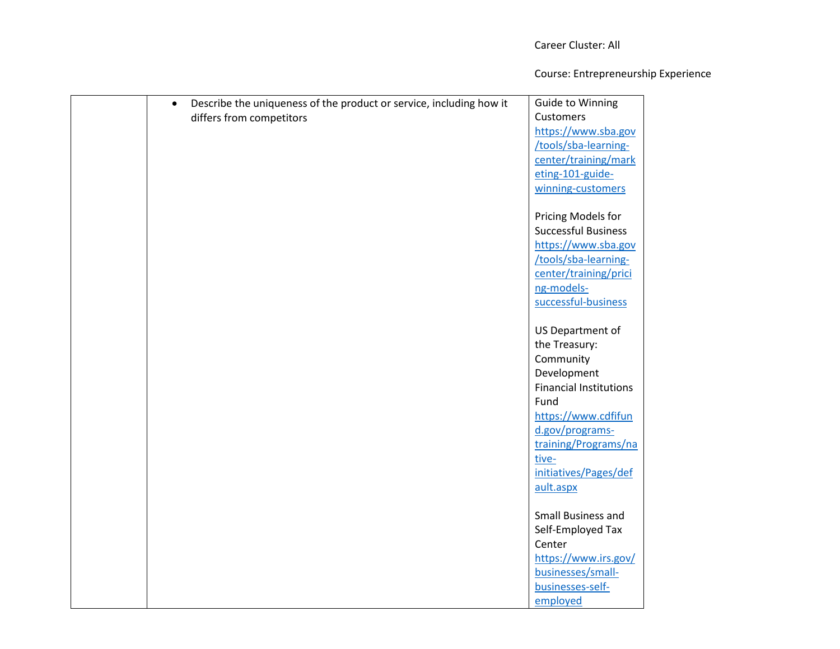| Describe the uniqueness of the product or service, including how it<br>$\bullet$ | <b>Guide to Winning</b>       |
|----------------------------------------------------------------------------------|-------------------------------|
| differs from competitors                                                         | Customers                     |
|                                                                                  | https://www.sba.gov           |
|                                                                                  | /tools/sba-learning-          |
|                                                                                  | center/training/mark          |
|                                                                                  | eting-101-guide-              |
|                                                                                  | winning-customers             |
|                                                                                  |                               |
|                                                                                  | Pricing Models for            |
|                                                                                  | <b>Successful Business</b>    |
|                                                                                  | https://www.sba.gov           |
|                                                                                  | /tools/sba-learning-          |
|                                                                                  | center/training/prici         |
|                                                                                  | ng-models-                    |
|                                                                                  | successful-business           |
|                                                                                  |                               |
|                                                                                  | US Department of              |
|                                                                                  | the Treasury:                 |
|                                                                                  | Community                     |
|                                                                                  | Development                   |
|                                                                                  | <b>Financial Institutions</b> |
|                                                                                  | Fund                          |
|                                                                                  | https://www.cdfifun           |
|                                                                                  | d.gov/programs-               |
|                                                                                  | training/Programs/na          |
|                                                                                  | tive-                         |
|                                                                                  | initiatives/Pages/def         |
|                                                                                  | ault.aspx                     |
|                                                                                  |                               |
|                                                                                  | Small Business and            |
|                                                                                  | Self-Employed Tax             |
|                                                                                  | Center                        |
|                                                                                  | https://www.irs.gov/          |
|                                                                                  | businesses/small-             |
|                                                                                  | businesses-self-              |
|                                                                                  | employed                      |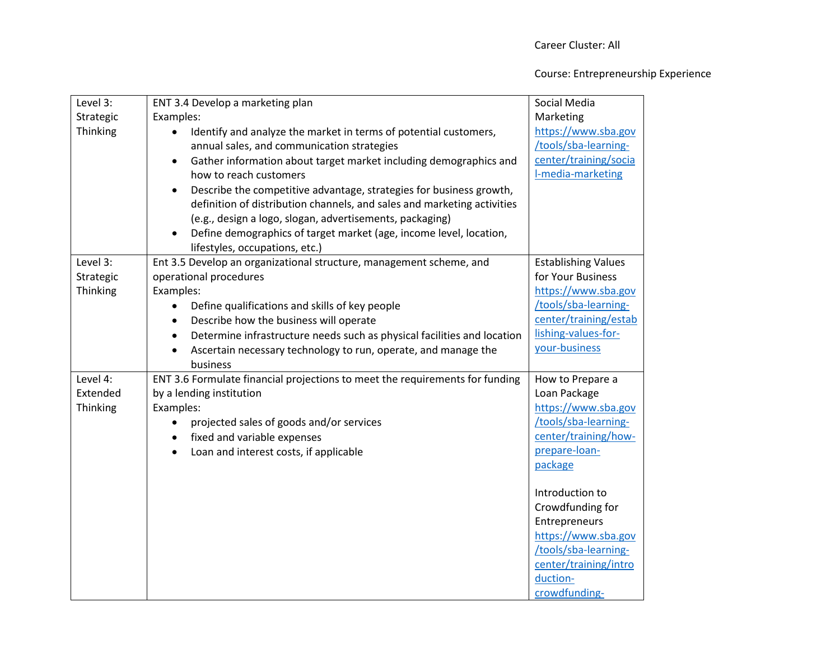| Level 3:  | ENT 3.4 Develop a marketing plan                                                     | Social Media               |
|-----------|--------------------------------------------------------------------------------------|----------------------------|
| Strategic | Examples:                                                                            | Marketing                  |
| Thinking  | Identify and analyze the market in terms of potential customers,<br>$\bullet$        | https://www.sba.gov        |
|           | annual sales, and communication strategies                                           | /tools/sba-learning-       |
|           | Gather information about target market including demographics and                    | center/training/socia      |
|           | how to reach customers                                                               | I-media-marketing          |
|           | Describe the competitive advantage, strategies for business growth,                  |                            |
|           | definition of distribution channels, and sales and marketing activities              |                            |
|           | (e.g., design a logo, slogan, advertisements, packaging)                             |                            |
|           | Define demographics of target market (age, income level, location,                   |                            |
|           | lifestyles, occupations, etc.)                                                       |                            |
| Level 3:  | Ent 3.5 Develop an organizational structure, management scheme, and                  | <b>Establishing Values</b> |
| Strategic | operational procedures                                                               | for Your Business          |
| Thinking  | Examples:                                                                            | https://www.sba.gov        |
|           | Define qualifications and skills of key people                                       | /tools/sba-learning-       |
|           | Describe how the business will operate                                               | center/training/estab      |
|           | Determine infrastructure needs such as physical facilities and location<br>$\bullet$ | lishing-values-for-        |
|           | Ascertain necessary technology to run, operate, and manage the                       | your-business              |
|           | business                                                                             |                            |
| Level 4:  | ENT 3.6 Formulate financial projections to meet the requirements for funding         | How to Prepare a           |
| Extended  | by a lending institution                                                             | Loan Package               |
| Thinking  | Examples:                                                                            | https://www.sba.gov        |
|           | projected sales of goods and/or services                                             | /tools/sba-learning-       |
|           | fixed and variable expenses                                                          | center/training/how-       |
|           | Loan and interest costs, if applicable<br>$\bullet$                                  | prepare-loan-              |
|           |                                                                                      | package                    |
|           |                                                                                      |                            |
|           |                                                                                      | Introduction to            |
|           |                                                                                      | Crowdfunding for           |
|           |                                                                                      | Entrepreneurs              |
|           |                                                                                      | https://www.sba.gov        |
|           |                                                                                      | /tools/sba-learning-       |
|           |                                                                                      | center/training/intro      |
|           |                                                                                      | duction-                   |
|           |                                                                                      | crowdfunding-              |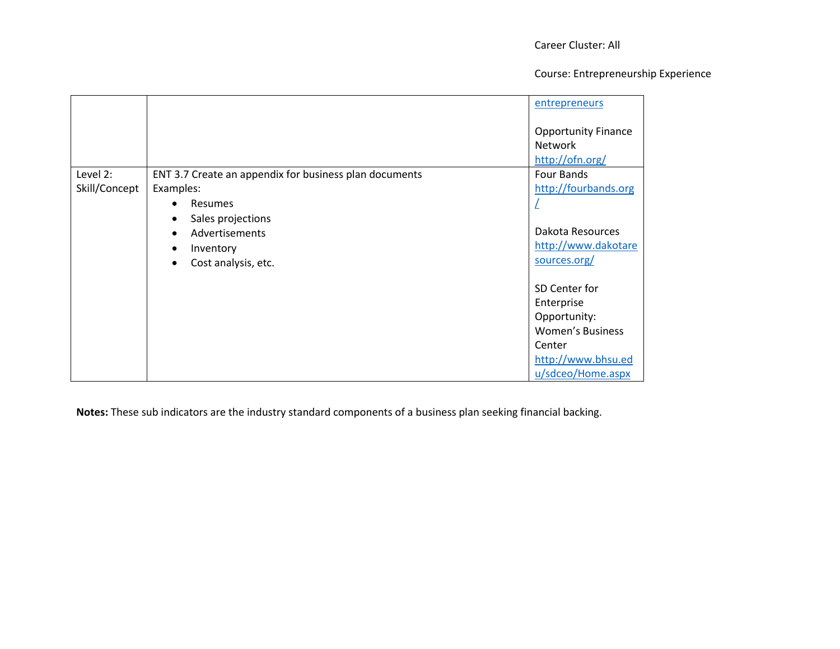Course: Entrepreneurship Experience

|               |                                                        | entrepreneurs                                                   |
|---------------|--------------------------------------------------------|-----------------------------------------------------------------|
|               |                                                        | <b>Opportunity Finance</b><br><b>Network</b><br>http://ofn.org/ |
| Level 2:      | ENT 3.7 Create an appendix for business plan documents | Four Bands                                                      |
| Skill/Concept | Examples:                                              | http://fourbands.org                                            |
|               | Resumes                                                |                                                                 |
|               | Sales projections<br>$\bullet$                         |                                                                 |
|               | Advertisements<br>$\bullet$                            | Dakota Resources                                                |
|               | Inventory<br>$\bullet$                                 | http://www.dakotare                                             |
|               | Cost analysis, etc.<br>$\bullet$                       | sources.org/                                                    |
|               |                                                        | SD Center for                                                   |
|               |                                                        | Enterprise                                                      |
|               |                                                        | Opportunity:                                                    |
|               |                                                        | <b>Women's Business</b>                                         |
|               |                                                        | Center                                                          |
|               |                                                        | http://www.bhsu.ed                                              |
|               |                                                        | u/sdceo/Home.aspx                                               |

**Notes:** These sub indicators are the industry standard components of a business plan seeking financial backing.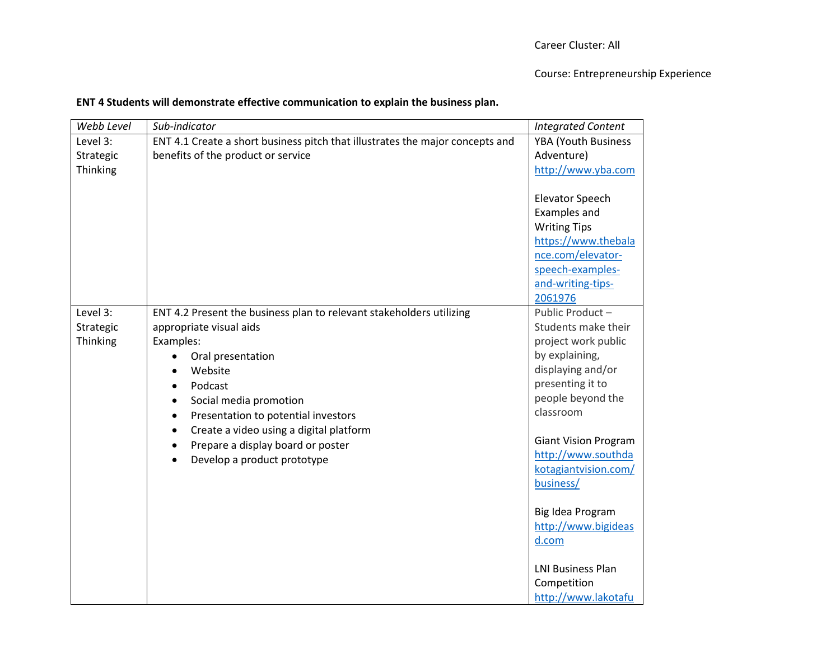# **ENT 4 Students will demonstrate effective communication to explain the business plan.**

| Webb Level | Sub-indicator                                                                 | <b>Integrated Content</b>   |
|------------|-------------------------------------------------------------------------------|-----------------------------|
| Level 3:   | ENT 4.1 Create a short business pitch that illustrates the major concepts and | YBA (Youth Business         |
| Strategic  | benefits of the product or service                                            | Adventure)                  |
| Thinking   |                                                                               | http://www.yba.com          |
|            |                                                                               |                             |
|            |                                                                               | Elevator Speech             |
|            |                                                                               | Examples and                |
|            |                                                                               | <b>Writing Tips</b>         |
|            |                                                                               | https://www.thebala         |
|            |                                                                               | nce.com/elevator-           |
|            |                                                                               | speech-examples-            |
|            |                                                                               | and-writing-tips-           |
|            |                                                                               | 2061976                     |
| Level 3:   | ENT 4.2 Present the business plan to relevant stakeholders utilizing          | Public Product-             |
| Strategic  | appropriate visual aids                                                       | Students make their         |
| Thinking   | Examples:                                                                     | project work public         |
|            | Oral presentation                                                             | by explaining,              |
|            | Website                                                                       | displaying and/or           |
|            | Podcast                                                                       | presenting it to            |
|            | Social media promotion                                                        | people beyond the           |
|            | Presentation to potential investors                                           | classroom                   |
|            | Create a video using a digital platform<br>$\bullet$                          |                             |
|            | Prepare a display board or poster                                             | <b>Giant Vision Program</b> |
|            | Develop a product prototype                                                   | http://www.southda          |
|            |                                                                               | kotagiantvision.com/        |
|            |                                                                               | business/                   |
|            |                                                                               | Big Idea Program            |
|            |                                                                               | http://www.bigideas         |
|            |                                                                               | d.com                       |
|            |                                                                               |                             |
|            |                                                                               | <b>LNI Business Plan</b>    |
|            |                                                                               | Competition                 |
|            |                                                                               | http://www.lakotafu         |
|            |                                                                               |                             |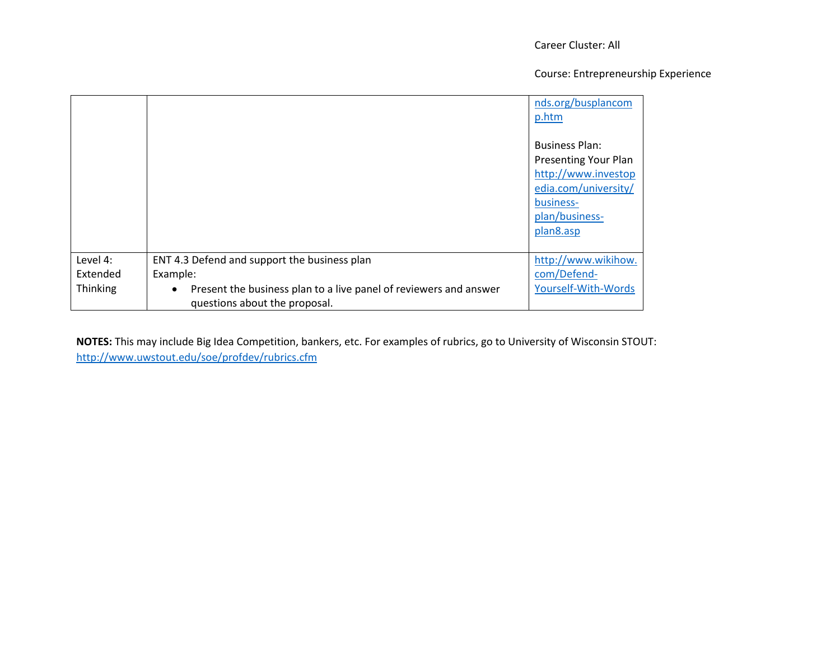## Course: Entrepreneurship Experience

|                                  |                                                                                                                                                                             | nds.org/busplancom<br>p.htm<br><b>Business Plan:</b><br><b>Presenting Your Plan</b><br>http://www.investop<br>edia.com/university/<br>business-<br>plan/business-<br>plan8.asp |
|----------------------------------|-----------------------------------------------------------------------------------------------------------------------------------------------------------------------------|--------------------------------------------------------------------------------------------------------------------------------------------------------------------------------|
| Level 4:<br>Extended<br>Thinking | ENT 4.3 Defend and support the business plan<br>Example:<br>Present the business plan to a live panel of reviewers and answer<br>$\bullet$<br>questions about the proposal. | http://www.wikihow.<br>com/Defend-<br>Yourself-With-Words                                                                                                                      |

**NOTES:** This may include Big Idea Competition, bankers, etc. For examples of rubrics, go to University of Wisconsin STOUT: <http://www.uwstout.edu/soe/profdev/rubrics.cfm>